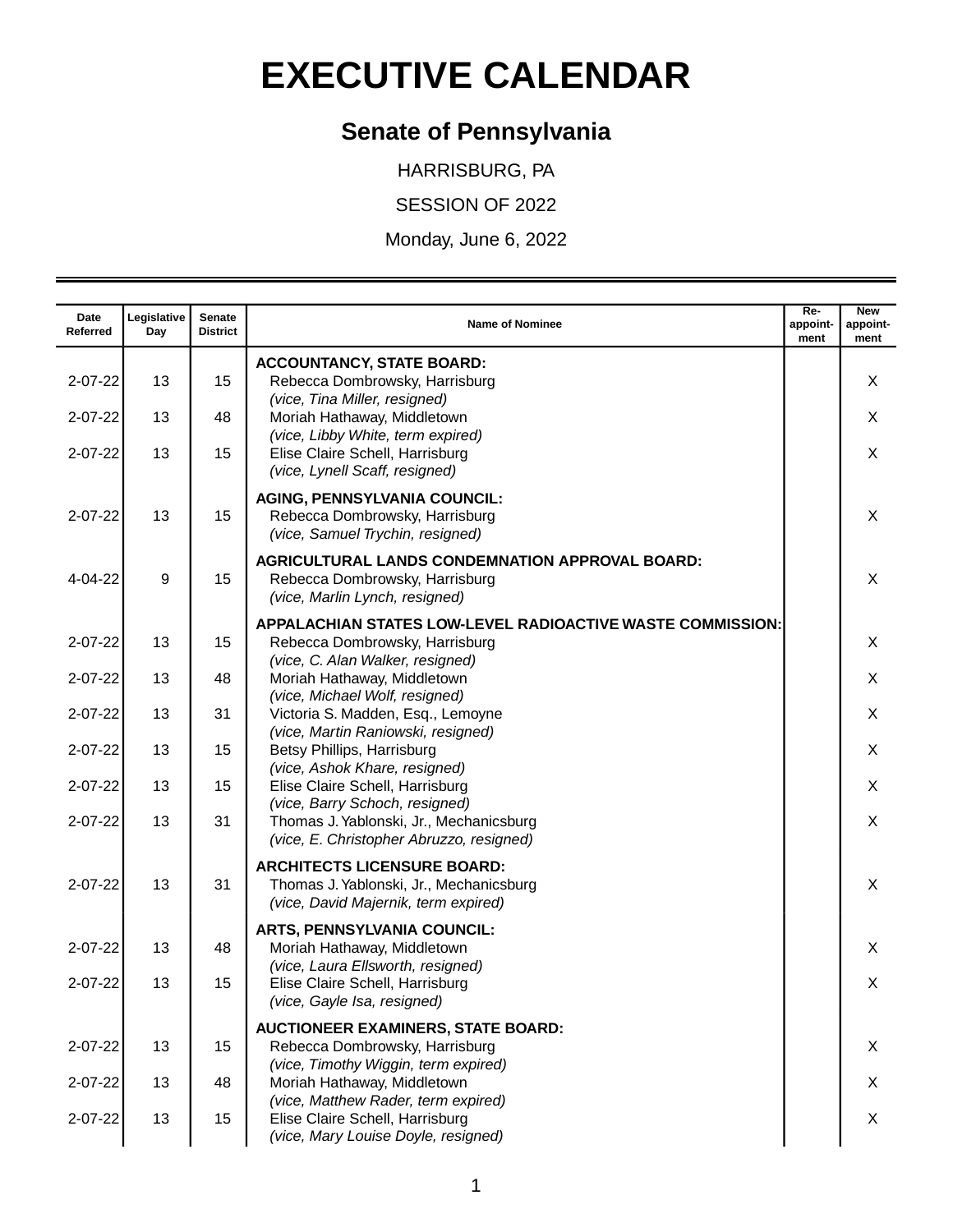## **EXECUTIVE CALENDAR**

## **Senate of Pennsylvania**

HARRISBURG, PA

SESSION OF 2022

Monday, June 6, 2022

| Date<br>Referred | Legislative<br>Day | Senate<br><b>District</b> | <b>Name of Nominee</b>                                                                                                                  | Re-<br>appoint-<br>ment | <b>New</b><br>appoint-<br>ment |
|------------------|--------------------|---------------------------|-----------------------------------------------------------------------------------------------------------------------------------------|-------------------------|--------------------------------|
| $2 - 07 - 22$    | 13                 | 15                        | <b>ACCOUNTANCY, STATE BOARD:</b><br>Rebecca Dombrowsky, Harrisburg<br>(vice, Tina Miller, resigned)                                     |                         | X                              |
| $2 - 07 - 22$    | 13                 | 48                        | Moriah Hathaway, Middletown                                                                                                             |                         | X                              |
| $2 - 07 - 22$    | 13                 | 15                        | (vice, Libby White, term expired)<br>Elise Claire Schell, Harrisburg<br>(vice, Lynell Scaff, resigned)                                  |                         | X                              |
| $2 - 07 - 22$    | 13                 | 15                        | <b>AGING, PENNSYLVANIA COUNCIL:</b><br>Rebecca Dombrowsky, Harrisburg<br>(vice, Samuel Trychin, resigned)                               |                         | X                              |
| 4-04-22          | 9                  | 15                        | AGRICULTURAL LANDS CONDEMNATION APPROVAL BOARD:<br>Rebecca Dombrowsky, Harrisburg<br>(vice, Marlin Lynch, resigned)                     |                         | X                              |
| $2 - 07 - 22$    | 13                 | 15                        | <b>APPALACHIAN STATES LOW-LEVEL RADIOACTIVE WASTE COMMISSION:</b><br>Rebecca Dombrowsky, Harrisburg<br>(vice, C. Alan Walker, resigned) |                         | X                              |
| $2 - 07 - 22$    | 13                 | 48                        | Moriah Hathaway, Middletown<br>(vice, Michael Wolf, resigned)                                                                           |                         | X                              |
| $2 - 07 - 22$    | 13                 | 31                        | Victoria S. Madden, Esq., Lemoyne                                                                                                       |                         | X                              |
| $2 - 07 - 22$    | 13                 | 15                        | (vice, Martin Raniowski, resigned)<br>Betsy Phillips, Harrisburg                                                                        |                         | X                              |
| $2 - 07 - 22$    | 13                 | 15                        | (vice, Ashok Khare, resigned)<br>Elise Claire Schell, Harrisburg                                                                        |                         | X                              |
| $2 - 07 - 22$    | 13                 | 31                        | (vice, Barry Schoch, resigned)<br>Thomas J. Yablonski, Jr., Mechanicsburg<br>(vice, E. Christopher Abruzzo, resigned)                   |                         | X                              |
| $2 - 07 - 22$    | 13                 | 31                        | <b>ARCHITECTS LICENSURE BOARD:</b><br>Thomas J. Yablonski, Jr., Mechanicsburg<br>(vice, David Majernik, term expired)                   |                         | X                              |
| $2 - 07 - 22$    | 13                 | 48                        | <b>ARTS, PENNSYLVANIA COUNCIL:</b><br>Moriah Hathaway, Middletown                                                                       |                         | X                              |
| $2 - 07 - 22$    | 13                 | 15                        | (vice, Laura Ellsworth, resigned)<br>Elise Claire Schell, Harrisburg<br>(vice, Gayle Isa, resigned)                                     |                         | X                              |
| $2 - 07 - 22$    | 13                 | 15                        | <b>AUCTIONEER EXAMINERS, STATE BOARD:</b><br>Rebecca Dombrowsky, Harrisburg<br>(vice, Timothy Wiggin, term expired)                     |                         | X                              |
| $2 - 07 - 22$    | 13                 | 48                        | Moriah Hathaway, Middletown                                                                                                             |                         | X                              |
| $2 - 07 - 22$    | 13                 | 15                        | (vice, Matthew Rader, term expired)<br>Elise Claire Schell, Harrisburg<br>(vice, Mary Louise Doyle, resigned)                           |                         | X                              |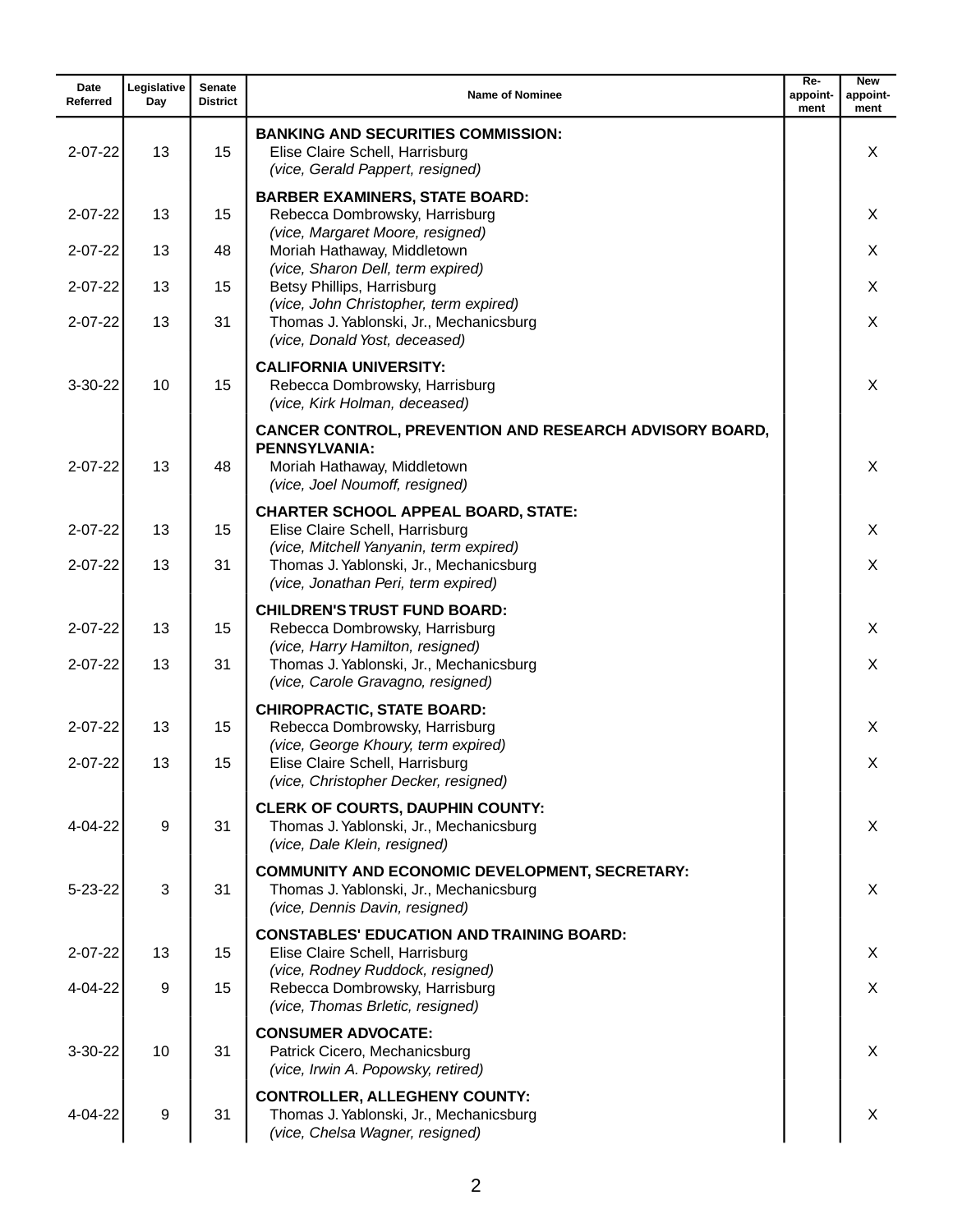| Date<br>Referred               | Legislative<br>Day | Senate<br><b>District</b> | <b>Name of Nominee</b>                                                                                                                                  | $Re-$<br>appoint-<br>ment | <b>New</b><br>appoint-<br>ment |
|--------------------------------|--------------------|---------------------------|---------------------------------------------------------------------------------------------------------------------------------------------------------|---------------------------|--------------------------------|
| $2 - 07 - 22$                  | 13                 | 15                        | <b>BANKING AND SECURITIES COMMISSION:</b><br>Elise Claire Schell, Harrisburg<br>(vice, Gerald Pappert, resigned)                                        |                           | X                              |
| $2 - 07 - 22$                  | 13                 | 15                        | <b>BARBER EXAMINERS, STATE BOARD:</b><br>Rebecca Dombrowsky, Harrisburg                                                                                 |                           | X                              |
| $2 - 07 - 22$                  | 13                 | 48                        | (vice, Margaret Moore, resigned)<br>Moriah Hathaway, Middletown                                                                                         |                           | X                              |
| $2 - 07 - 22$                  | 13                 | 15                        | (vice, Sharon Dell, term expired)<br>Betsy Phillips, Harrisburg<br>(vice, John Christopher, term expired)                                               |                           | X                              |
| $2 - 07 - 22$                  | 13                 | 31                        | Thomas J. Yablonski, Jr., Mechanicsburg<br>(vice, Donald Yost, deceased)                                                                                |                           | X                              |
| $3-30-22$                      | 10                 | 15                        | <b>CALIFORNIA UNIVERSITY:</b><br>Rebecca Dombrowsky, Harrisburg<br>(vice, Kirk Holman, deceased)                                                        |                           | X                              |
| $2 - 07 - 22$                  | 13                 | 48                        | <b>CANCER CONTROL, PREVENTION AND RESEARCH ADVISORY BOARD,</b><br><b>PENNSYLVANIA:</b><br>Moriah Hathaway, Middletown<br>(vice, Joel Noumoff, resigned) |                           | X                              |
| $2 - 07 - 22$                  | 13                 | 15                        | <b>CHARTER SCHOOL APPEAL BOARD, STATE:</b><br>Elise Claire Schell, Harrisburg                                                                           |                           | X                              |
| $2 - 07 - 22$                  | 13                 | 31                        | (vice, Mitchell Yanyanin, term expired)<br>Thomas J. Yablonski, Jr., Mechanicsburg<br>(vice, Jonathan Peri, term expired)                               |                           | X                              |
| $2 - 07 - 22$<br>$2 - 07 - 22$ | 13<br>13           | 15<br>31                  | <b>CHILDREN'S TRUST FUND BOARD:</b><br>Rebecca Dombrowsky, Harrisburg<br>(vice, Harry Hamilton, resigned)<br>Thomas J. Yablonski, Jr., Mechanicsburg    |                           | X<br>X                         |
|                                |                    |                           | (vice, Carole Gravagno, resigned)<br><b>CHIROPRACTIC, STATE BOARD:</b>                                                                                  |                           |                                |
| $2 - 07 - 22$                  | 13                 | 15                        | Rebecca Dombrowsky, Harrisburg<br>(vice, George Khoury, term expired)                                                                                   |                           | X                              |
| 2-07-22                        | 13                 | 15                        | Elise Claire Schell, Harrisburg<br>(vice, Christopher Decker, resigned)                                                                                 |                           | Χ                              |
| $4 - 04 - 22$                  | 9                  | 31                        | <b>CLERK OF COURTS, DAUPHIN COUNTY:</b><br>Thomas J. Yablonski, Jr., Mechanicsburg<br>(vice, Dale Klein, resigned)                                      |                           | X                              |
| $5 - 23 - 22$                  | 3                  | 31                        | <b>COMMUNITY AND ECONOMIC DEVELOPMENT, SECRETARY:</b><br>Thomas J. Yablonski, Jr., Mechanicsburg<br>(vice, Dennis Davin, resigned)                      |                           | X                              |
| $2 - 07 - 22$                  | 13                 | 15                        | <b>CONSTABLES' EDUCATION AND TRAINING BOARD:</b><br>Elise Claire Schell, Harrisburg                                                                     |                           | X.                             |
| 4-04-22                        | 9                  | 15                        | (vice, Rodney Ruddock, resigned)<br>Rebecca Dombrowsky, Harrisburg<br>(vice, Thomas Brletic, resigned)                                                  |                           | X                              |
| 3-30-22                        | 10                 | 31                        | <b>CONSUMER ADVOCATE:</b><br>Patrick Cicero, Mechanicsburg<br>(vice, Irwin A. Popowsky, retired)                                                        |                           | X                              |
| 4-04-22                        | 9                  | 31                        | <b>CONTROLLER, ALLEGHENY COUNTY:</b><br>Thomas J. Yablonski, Jr., Mechanicsburg<br>(vice, Chelsa Wagner, resigned)                                      |                           | X                              |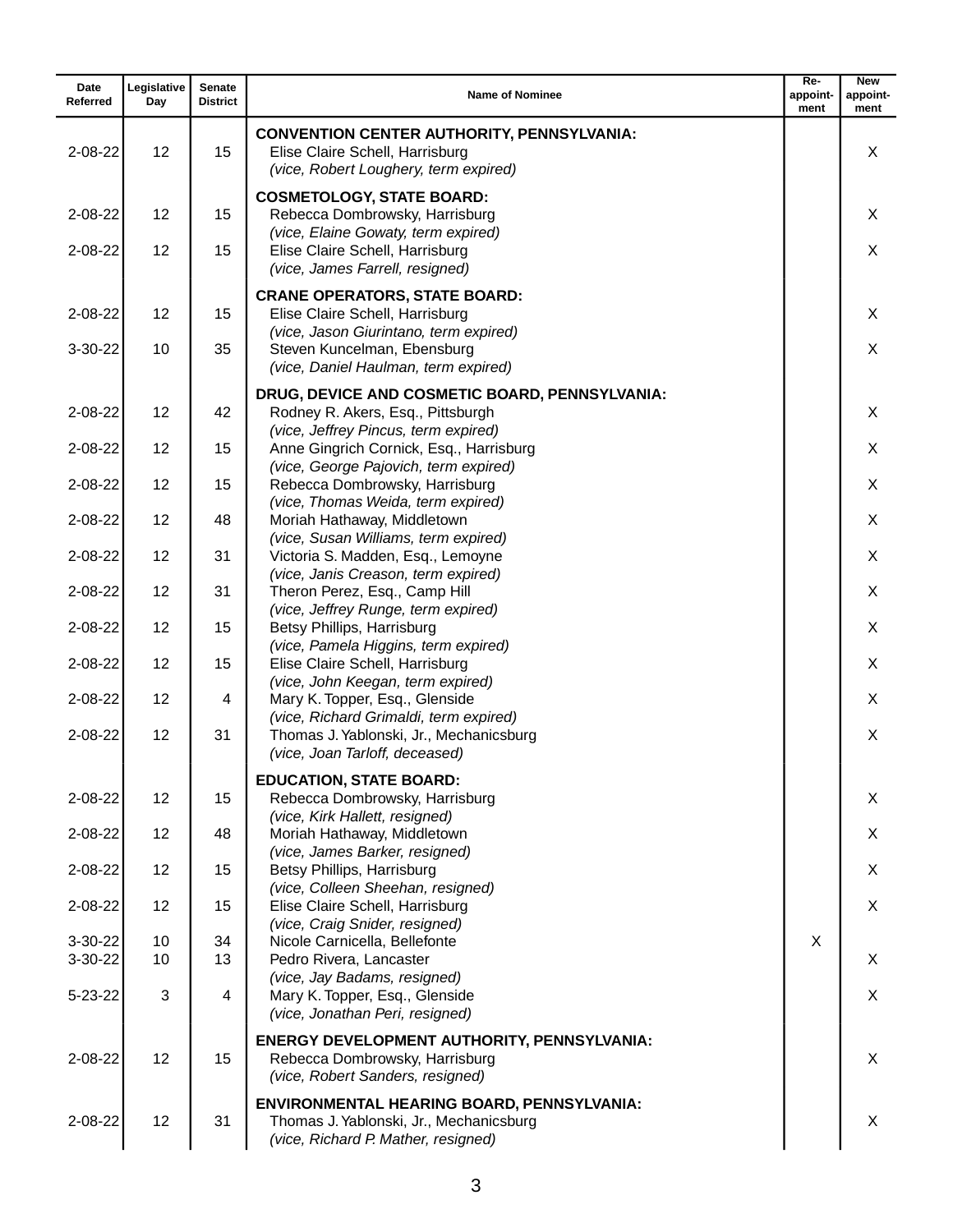| Date<br>Referred | Legislative<br>Day | Senate<br><b>District</b> | <b>Name of Nominee</b>                                                                                                              | Re-<br>appoint-<br>ment | <b>New</b><br>appoint-<br>ment |
|------------------|--------------------|---------------------------|-------------------------------------------------------------------------------------------------------------------------------------|-------------------------|--------------------------------|
| $2 - 08 - 22$    | 12                 | 15                        | <b>CONVENTION CENTER AUTHORITY, PENNSYLVANIA:</b><br>Elise Claire Schell, Harrisburg<br>(vice, Robert Loughery, term expired)       |                         | X                              |
| $2 - 08 - 22$    | 12                 | 15                        | <b>COSMETOLOGY, STATE BOARD:</b><br>Rebecca Dombrowsky, Harrisburg                                                                  |                         | X                              |
| $2 - 08 - 22$    | 12                 | 15                        | (vice, Elaine Gowaty, term expired)<br>Elise Claire Schell, Harrisburg<br>(vice, James Farrell, resigned)                           |                         | X                              |
| $2 - 08 - 22$    | 12                 | 15                        | <b>CRANE OPERATORS, STATE BOARD:</b><br>Elise Claire Schell, Harrisburg<br>(vice, Jason Giurintano, term expired)                   |                         | X                              |
| $3-30-22$        | 10                 | 35                        | Steven Kuncelman, Ebensburg<br>(vice, Daniel Haulman, term expired)                                                                 |                         | X                              |
| $2 - 08 - 22$    | 12                 | 42                        | DRUG, DEVICE AND COSMETIC BOARD, PENNSYLVANIA:<br>Rodney R. Akers, Esq., Pittsburgh<br>(vice, Jeffrey Pincus, term expired)         |                         | X                              |
| $2 - 08 - 22$    | 12                 | 15                        | Anne Gingrich Cornick, Esq., Harrisburg<br>(vice, George Pajovich, term expired)                                                    |                         | X                              |
| $2 - 08 - 22$    | 12                 | 15                        | Rebecca Dombrowsky, Harrisburg<br>(vice, Thomas Weida, term expired)                                                                |                         | X                              |
| $2 - 08 - 22$    | 12                 | 48                        | Moriah Hathaway, Middletown                                                                                                         |                         | X                              |
| $2 - 08 - 22$    | 12                 | 31                        | (vice, Susan Williams, term expired)<br>Victoria S. Madden, Esq., Lemoyne                                                           |                         | X                              |
| $2 - 08 - 22$    | 12                 | 31                        | (vice, Janis Creason, term expired)<br>Theron Perez, Esq., Camp Hill                                                                |                         | X                              |
| $2 - 08 - 22$    | 12                 | 15                        | (vice, Jeffrey Runge, term expired)<br>Betsy Phillips, Harrisburg                                                                   |                         | X                              |
| $2 - 08 - 22$    | 12                 | 15                        | (vice, Pamela Higgins, term expired)<br>Elise Claire Schell, Harrisburg                                                             |                         | X                              |
| $2 - 08 - 22$    | 12                 | 4                         | (vice, John Keegan, term expired)<br>Mary K. Topper, Esq., Glenside                                                                 |                         | X                              |
| $2 - 08 - 22$    | 12                 | 31                        | (vice, Richard Grimaldi, term expired)<br>Thomas J. Yablonski, Jr., Mechanicsburg<br>(vice, Joan Tarloff, deceased)                 |                         | X                              |
| 2-08-22          | 12                 | 15                        | <b>EDUCATION, STATE BOARD:</b><br>Rebecca Dombrowsky, Harrisburg                                                                    |                         | X                              |
| 2-08-22          | 12                 | 48                        | (vice, Kirk Hallett, resigned)<br>Moriah Hathaway, Middletown                                                                       |                         | X                              |
| 2-08-22          | 12                 | 15                        | (vice, James Barker, resigned)<br>Betsy Phillips, Harrisburg                                                                        |                         | X                              |
| 2-08-22          | 12                 | 15                        | (vice, Colleen Sheehan, resigned)<br>Elise Claire Schell, Harrisburg                                                                |                         | X                              |
| 3-30-22          | 10                 | 34                        | (vice, Craig Snider, resigned)<br>Nicole Carnicella, Bellefonte                                                                     | X                       |                                |
| 3-30-22          | 10                 | 13                        | Pedro Rivera, Lancaster                                                                                                             |                         | X                              |
| $5 - 23 - 22$    | 3                  | 4                         | (vice, Jay Badams, resigned)<br>Mary K. Topper, Esq., Glenside<br>(vice, Jonathan Peri, resigned)                                   |                         | X                              |
| $2 - 08 - 22$    | 12                 | 15                        | <b>ENERGY DEVELOPMENT AUTHORITY, PENNSYLVANIA:</b><br>Rebecca Dombrowsky, Harrisburg<br>(vice, Robert Sanders, resigned)            |                         | X                              |
| 2-08-22          | 12                 | 31                        | <b>ENVIRONMENTAL HEARING BOARD, PENNSYLVANIA:</b><br>Thomas J. Yablonski, Jr., Mechanicsburg<br>(vice, Richard P. Mather, resigned) |                         | X                              |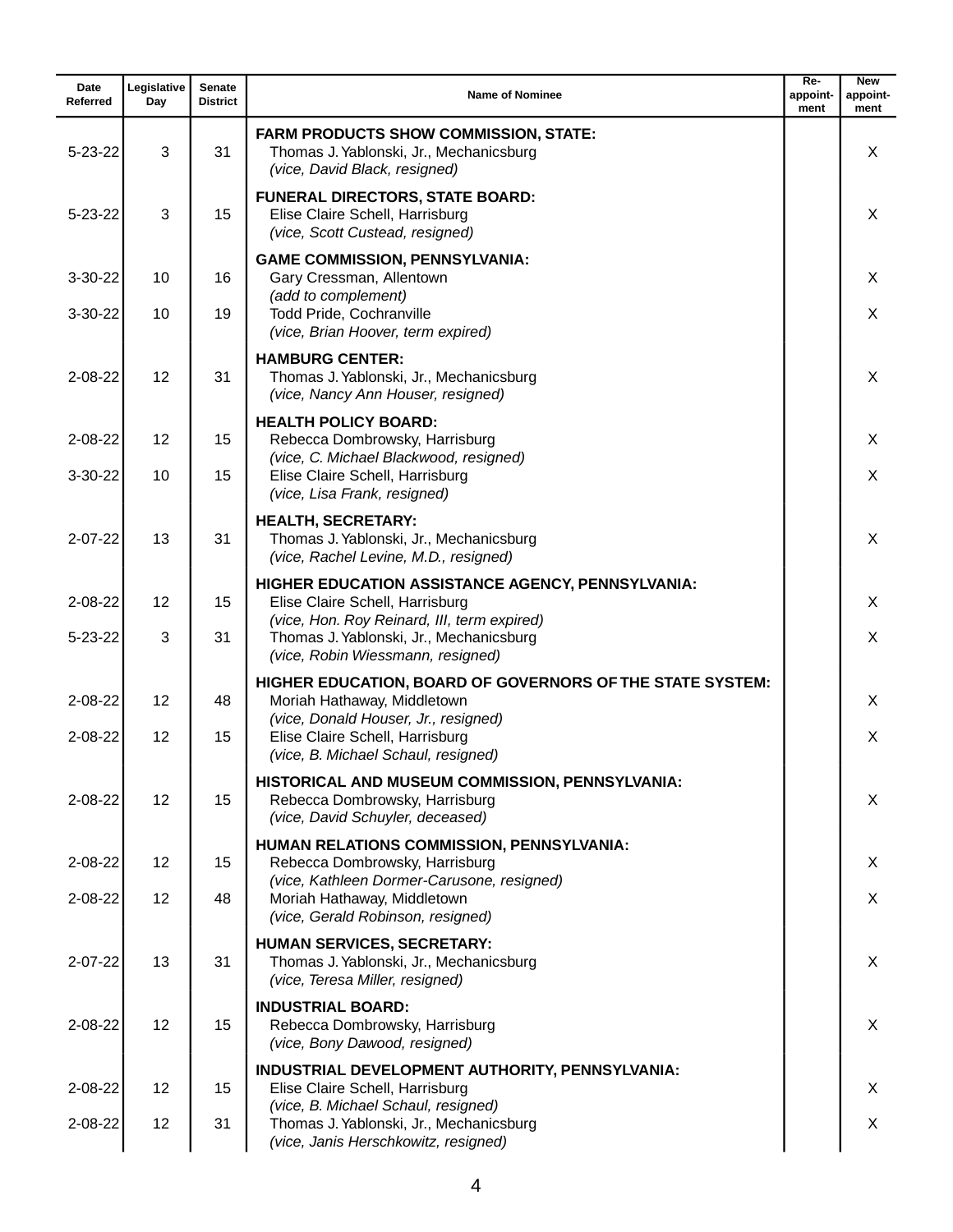| Date<br>Referred | Legislative<br>Day | <b>Senate</b><br><b>District</b> | <b>Name of Nominee</b>                                                                                                      | $Re-$<br>appoint-<br>ment | <b>New</b><br>appoint-<br>ment |
|------------------|--------------------|----------------------------------|-----------------------------------------------------------------------------------------------------------------------------|---------------------------|--------------------------------|
| $5 - 23 - 22$    | 3                  | 31                               | <b>FARM PRODUCTS SHOW COMMISSION, STATE:</b><br>Thomas J. Yablonski, Jr., Mechanicsburg<br>(vice, David Black, resigned)    |                           | X                              |
| $5 - 23 - 22$    | 3                  | 15                               | <b>FUNERAL DIRECTORS, STATE BOARD:</b><br>Elise Claire Schell, Harrisburg<br>(vice, Scott Custead, resigned)                |                           | X                              |
| $3 - 30 - 22$    | 10                 | 16                               | <b>GAME COMMISSION, PENNSYLVANIA:</b><br>Gary Cressman, Allentown                                                           |                           | X                              |
| $3 - 30 - 22$    | 10                 | 19                               | (add to complement)<br>Todd Pride, Cochranville<br>(vice, Brian Hoover, term expired)                                       |                           | X                              |
| $2 - 08 - 22$    | 12                 | 31                               | <b>HAMBURG CENTER:</b><br>Thomas J. Yablonski, Jr., Mechanicsburg<br>(vice, Nancy Ann Houser, resigned)                     |                           | X                              |
| $2 - 08 - 22$    | 12                 | 15                               | <b>HEALTH POLICY BOARD:</b><br>Rebecca Dombrowsky, Harrisburg                                                               |                           | X                              |
| $3 - 30 - 22$    | 10                 | 15                               | (vice, C. Michael Blackwood, resigned)<br>Elise Claire Schell, Harrisburg<br>(vice, Lisa Frank, resigned)                   |                           | X                              |
| $2 - 07 - 22$    | 13                 | 31                               | <b>HEALTH, SECRETARY:</b><br>Thomas J. Yablonski, Jr., Mechanicsburg<br>(vice, Rachel Levine, M.D., resigned)               |                           | X                              |
| $2 - 08 - 22$    | 12                 | 15                               | HIGHER EDUCATION ASSISTANCE AGENCY, PENNSYLVANIA:<br>Elise Claire Schell, Harrisburg                                        |                           | X                              |
| $5 - 23 - 22$    | 3                  | 31                               | (vice, Hon. Roy Reinard, III, term expired)<br>Thomas J. Yablonski, Jr., Mechanicsburg<br>(vice, Robin Wiessmann, resigned) |                           | X                              |
| $2 - 08 - 22$    | 12                 | 48                               | HIGHER EDUCATION, BOARD OF GOVERNORS OF THE STATE SYSTEM:<br>Moriah Hathaway, Middletown                                    |                           | X                              |
| $2 - 08 - 22$    | 12                 | 15                               | (vice, Donald Houser, Jr., resigned)<br>Elise Claire Schell, Harrisburg<br>(vice, B. Michael Schaul, resigned)              |                           | X                              |
| $2 - 08 - 22$    | 12                 | 15                               | HISTORICAL AND MUSEUM COMMISSION, PENNSYLVANIA:<br>Rebecca Dombrowsky, Harrisburg<br>(vice, David Schuyler, deceased)       |                           | X                              |
| $2 - 08 - 22$    | 12                 | 15                               | HUMAN RELATIONS COMMISSION, PENNSYLVANIA:<br>Rebecca Dombrowsky, Harrisburg                                                 |                           | X                              |
| $2 - 08 - 22$    | 12                 | 48                               | (vice, Kathleen Dormer-Carusone, resigned)<br>Moriah Hathaway, Middletown<br>(vice, Gerald Robinson, resigned)              |                           | X                              |
| $2 - 07 - 22$    | 13                 | 31                               | HUMAN SERVICES, SECRETARY:<br>Thomas J. Yablonski, Jr., Mechanicsburg<br>(vice, Teresa Miller, resigned)                    |                           | X.                             |
| $2 - 08 - 22$    | 12                 | 15                               | <b>INDUSTRIAL BOARD:</b><br>Rebecca Dombrowsky, Harrisburg<br>(vice, Bony Dawood, resigned)                                 |                           | X                              |
| $2 - 08 - 22$    | 12                 | 15                               | INDUSTRIAL DEVELOPMENT AUTHORITY, PENNSYLVANIA:<br>Elise Claire Schell, Harrisburg                                          |                           | X                              |
| $2 - 08 - 22$    | 12                 | 31                               | (vice, B. Michael Schaul, resigned)<br>Thomas J. Yablonski, Jr., Mechanicsburg<br>(vice, Janis Herschkowitz, resigned)      |                           | X                              |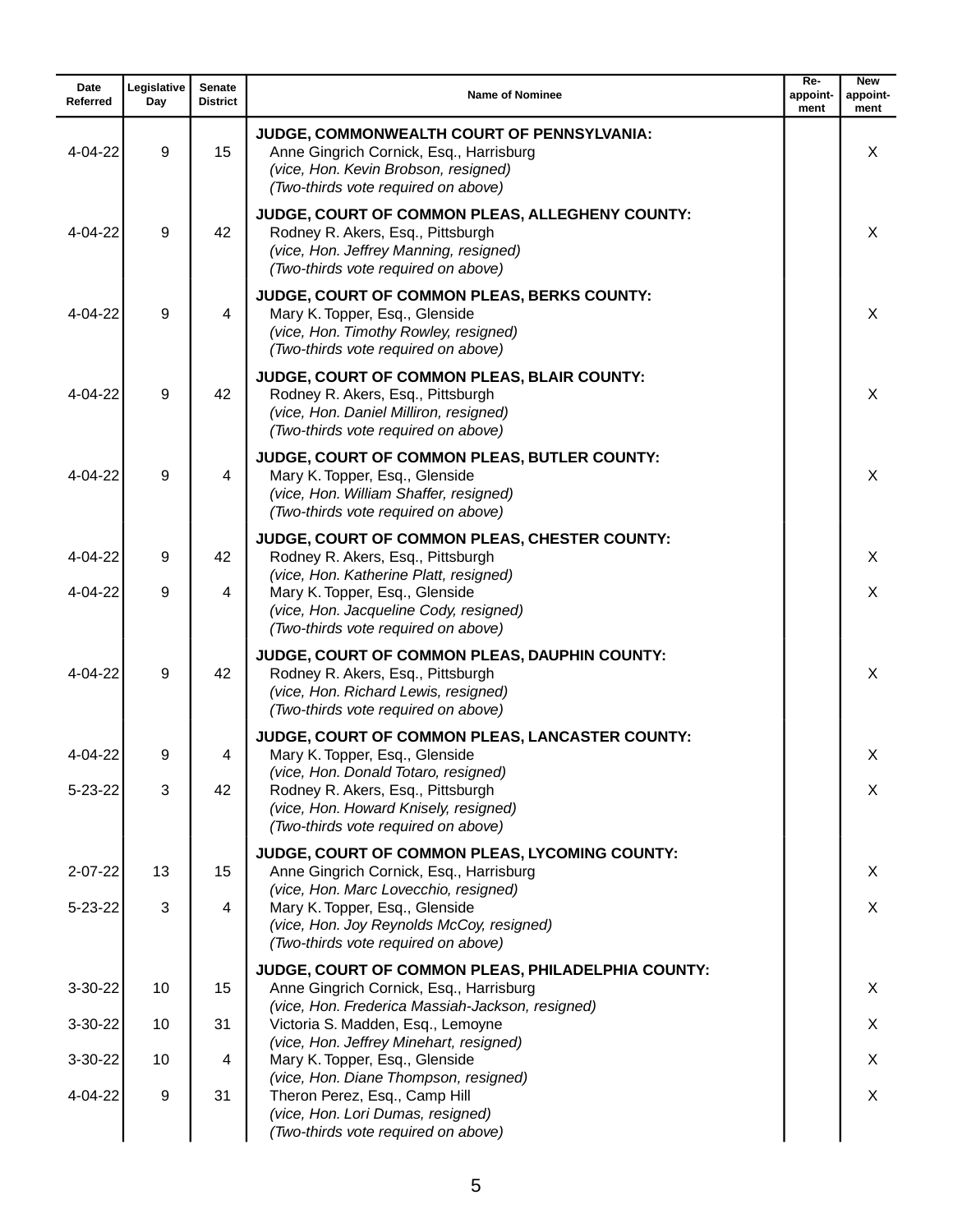| Date<br>Referred | Legislative<br>Day | <b>Senate</b><br><b>District</b> | <b>Name of Nominee</b>                                                                                                                                                | Re-<br>appoint-<br>ment | <b>New</b><br>appoint-<br>ment |
|------------------|--------------------|----------------------------------|-----------------------------------------------------------------------------------------------------------------------------------------------------------------------|-------------------------|--------------------------------|
| $4 - 04 - 22$    | 9                  | 15                               | JUDGE, COMMONWEALTH COURT OF PENNSYLVANIA:<br>Anne Gingrich Cornick, Esq., Harrisburg<br>(vice, Hon. Kevin Brobson, resigned)<br>(Two-thirds vote required on above)  |                         | X                              |
| 4-04-22          | 9                  | 42                               | JUDGE, COURT OF COMMON PLEAS, ALLEGHENY COUNTY:<br>Rodney R. Akers, Esq., Pittsburgh<br>(vice, Hon. Jeffrey Manning, resigned)<br>(Two-thirds vote required on above) |                         | X                              |
| 4-04-22          | 9                  | 4                                | JUDGE, COURT OF COMMON PLEAS, BERKS COUNTY:<br>Mary K. Topper, Esq., Glenside<br>(vice, Hon. Timothy Rowley, resigned)<br>(Two-thirds vote required on above)         |                         | X                              |
| $4 - 04 - 22$    | 9                  | 42                               | JUDGE, COURT OF COMMON PLEAS, BLAIR COUNTY:<br>Rodney R. Akers, Esq., Pittsburgh<br>(vice, Hon. Daniel Milliron, resigned)<br>(Two-thirds vote required on above)     |                         | X                              |
| 4-04-22          | 9                  | 4                                | JUDGE, COURT OF COMMON PLEAS, BUTLER COUNTY:<br>Mary K. Topper, Esq., Glenside<br>(vice, Hon. William Shaffer, resigned)<br>(Two-thirds vote required on above)       |                         | X                              |
| $4 - 04 - 22$    | 9                  | 42                               | JUDGE, COURT OF COMMON PLEAS, CHESTER COUNTY:<br>Rodney R. Akers, Esq., Pittsburgh                                                                                    |                         | X                              |
| 4-04-22          | 9                  | 4                                | (vice, Hon. Katherine Platt, resigned)<br>Mary K. Topper, Esq., Glenside<br>(vice, Hon. Jacqueline Cody, resigned)<br>(Two-thirds vote required on above)             |                         | X                              |
| $4 - 04 - 22$    | 9                  | 42                               | JUDGE, COURT OF COMMON PLEAS, DAUPHIN COUNTY:<br>Rodney R. Akers, Esq., Pittsburgh<br>(vice, Hon. Richard Lewis, resigned)<br>(Two-thirds vote required on above)     |                         | X                              |
| 4-04-22          | 9                  | 4                                | JUDGE, COURT OF COMMON PLEAS, LANCASTER COUNTY:<br>Mary K. Topper, Esq., Glenside                                                                                     |                         | X                              |
| $5 - 23 - 22$    | 3                  | 42                               | (vice, Hon. Donald Totaro, resigned)<br>Rodney R. Akers, Esq., Pittsburgh<br>(vice, Hon. Howard Knisely, resigned)<br>(Two-thirds vote required on above)             |                         | X                              |
| $2 - 07 - 22$    | 13                 | 15                               | JUDGE, COURT OF COMMON PLEAS, LYCOMING COUNTY:<br>Anne Gingrich Cornick, Esq., Harrisburg                                                                             |                         | X                              |
| $5 - 23 - 22$    | 3                  | 4                                | (vice, Hon. Marc Lovecchio, resigned)<br>Mary K. Topper, Esq., Glenside<br>(vice, Hon. Joy Reynolds McCoy, resigned)<br>(Two-thirds vote required on above)           |                         | X                              |
| 3-30-22          | 10                 | 15                               | JUDGE, COURT OF COMMON PLEAS, PHILADELPHIA COUNTY:<br>Anne Gingrich Cornick, Esq., Harrisburg<br>(vice, Hon. Frederica Massiah-Jackson, resigned)                     |                         | X                              |
| $3 - 30 - 22$    | 10                 | 31                               | Victoria S. Madden, Esq., Lemoyne                                                                                                                                     |                         | X.                             |
| $3 - 30 - 22$    | 10                 | 4                                | (vice, Hon. Jeffrey Minehart, resigned)<br>Mary K. Topper, Esq., Glenside                                                                                             |                         | X                              |
| 4-04-22          | 9                  | 31                               | (vice, Hon. Diane Thompson, resigned)<br>Theron Perez, Esq., Camp Hill<br>(vice, Hon. Lori Dumas, resigned)<br>(Two-thirds vote required on above)                    |                         | X                              |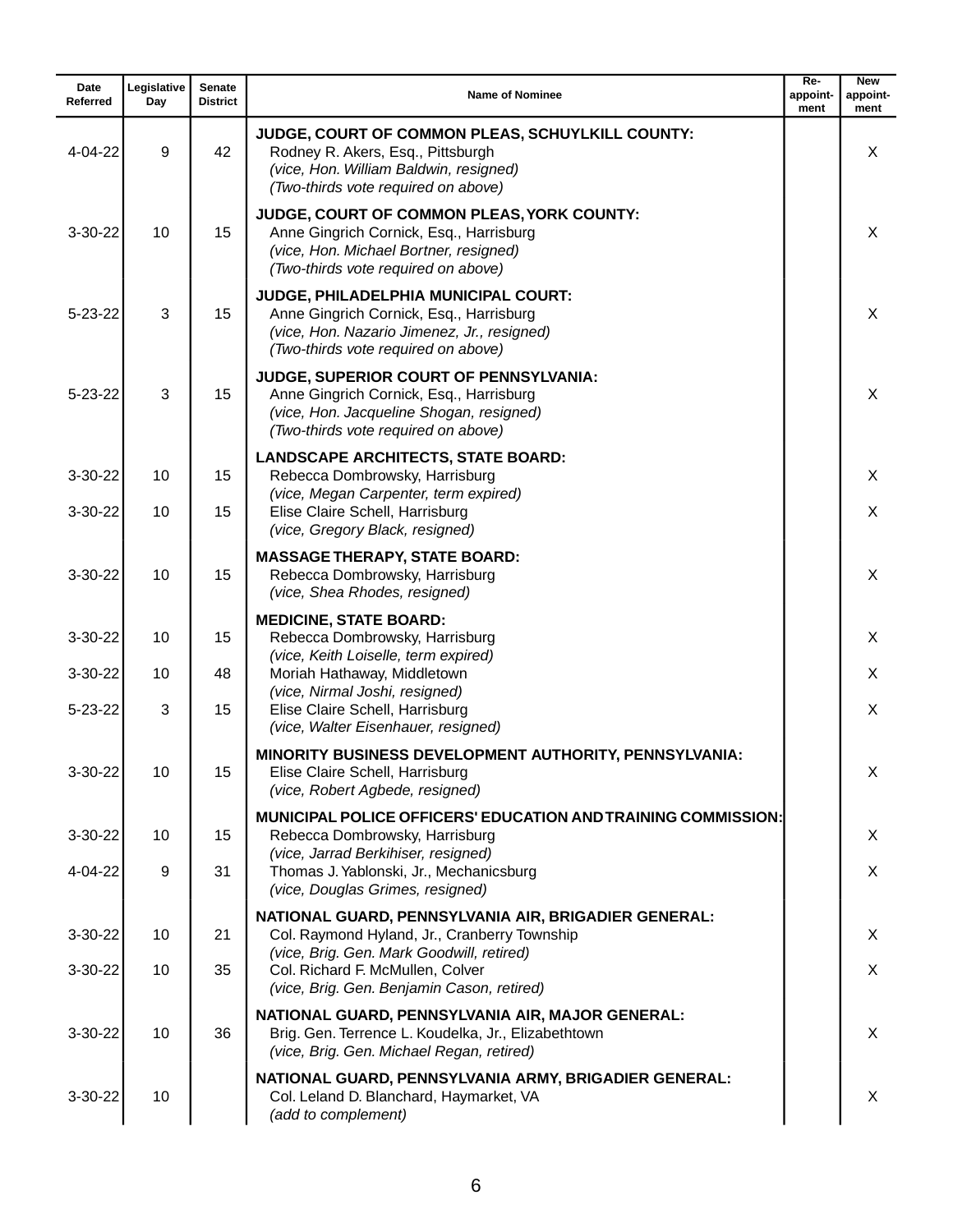| Date<br>Referred | Legislative<br>Day | <b>Senate</b><br><b>District</b> | <b>Name of Nominee</b>                                                                                                                                                 | Re-<br>appoint-<br>ment | <b>New</b><br>appoint-<br>ment |
|------------------|--------------------|----------------------------------|------------------------------------------------------------------------------------------------------------------------------------------------------------------------|-------------------------|--------------------------------|
| 4-04-22          | 9                  | 42                               | JUDGE, COURT OF COMMON PLEAS, SCHUYLKILL COUNTY:<br>Rodney R. Akers, Esq., Pittsburgh<br>(vice, Hon. William Baldwin, resigned)<br>(Two-thirds vote required on above) |                         | X                              |
| 3-30-22          | 10                 | 15                               | JUDGE, COURT OF COMMON PLEAS, YORK COUNTY:<br>Anne Gingrich Cornick, Esq., Harrisburg<br>(vice, Hon. Michael Bortner, resigned)<br>(Two-thirds vote required on above) |                         | X                              |
| $5 - 23 - 22$    | 3                  | 15                               | JUDGE, PHILADELPHIA MUNICIPAL COURT:<br>Anne Gingrich Cornick, Esq., Harrisburg<br>(vice, Hon. Nazario Jimenez, Jr., resigned)<br>(Two-thirds vote required on above)  |                         | $\times$                       |
| $5 - 23 - 22$    | 3                  | 15                               | JUDGE, SUPERIOR COURT OF PENNSYLVANIA:<br>Anne Gingrich Cornick, Esq., Harrisburg<br>(vice, Hon. Jacqueline Shogan, resigned)<br>(Two-thirds vote required on above)   |                         | X                              |
| 3-30-22          | 10                 | 15                               | <b>LANDSCAPE ARCHITECTS, STATE BOARD:</b><br>Rebecca Dombrowsky, Harrisburg                                                                                            |                         | X                              |
| $3 - 30 - 22$    | 10                 | 15                               | (vice, Megan Carpenter, term expired)<br>Elise Claire Schell, Harrisburg<br>(vice, Gregory Black, resigned)                                                            |                         | X                              |
| $3 - 30 - 22$    | 10                 | 15                               | <b>MASSAGE THERAPY, STATE BOARD:</b><br>Rebecca Dombrowsky, Harrisburg<br>(vice, Shea Rhodes, resigned)                                                                |                         | X                              |
| $3 - 30 - 22$    | 10                 | 15                               | <b>MEDICINE, STATE BOARD:</b><br>Rebecca Dombrowsky, Harrisburg                                                                                                        |                         | X                              |
| $3 - 30 - 22$    | 10                 | 48                               | (vice, Keith Loiselle, term expired)<br>Moriah Hathaway, Middletown                                                                                                    |                         | X                              |
| $5 - 23 - 22$    | 3                  | 15                               | (vice, Nirmal Joshi, resigned)<br>Elise Claire Schell, Harrisburg<br>(vice, Walter Eisenhauer, resigned)                                                               |                         | X                              |
| 3-30-22          | 10                 | 15                               | MINORITY BUSINESS DEVELOPMENT AUTHORITY, PENNSYLVANIA:<br>Elise Claire Schell, Harrisburg<br>(vice, Robert Agbede, resigned)                                           |                         | х                              |
| 3-30-22          | 10                 | 15                               | <b>MUNICIPAL POLICE OFFICERS' EDUCATION AND TRAINING COMMISSION:</b><br>Rebecca Dombrowsky, Harrisburg                                                                 |                         | X                              |
| 4-04-22          | 9                  | 31                               | (vice, Jarrad Berkihiser, resigned)<br>Thomas J. Yablonski, Jr., Mechanicsburg<br>(vice, Douglas Grimes, resigned)                                                     |                         | $\sf X$                        |
| $3-30-22$        | 10                 | 21                               | NATIONAL GUARD, PENNSYLVANIA AIR, BRIGADIER GENERAL:<br>Col. Raymond Hyland, Jr., Cranberry Township                                                                   |                         | X                              |
| $3 - 30 - 22$    | 10                 | 35                               | (vice, Brig. Gen. Mark Goodwill, retired)<br>Col. Richard F. McMullen, Colver<br>(vice, Brig. Gen. Benjamin Cason, retired)                                            |                         | X                              |
| 3-30-22          | 10                 | 36                               | NATIONAL GUARD, PENNSYLVANIA AIR, MAJOR GENERAL:<br>Brig. Gen. Terrence L. Koudelka, Jr., Elizabethtown<br>(vice, Brig. Gen. Michael Regan, retired)                   |                         | X                              |
| $3 - 30 - 22$    | 10                 |                                  | NATIONAL GUARD, PENNSYLVANIA ARMY, BRIGADIER GENERAL:<br>Col. Leland D. Blanchard, Haymarket, VA<br>(add to complement)                                                |                         | X                              |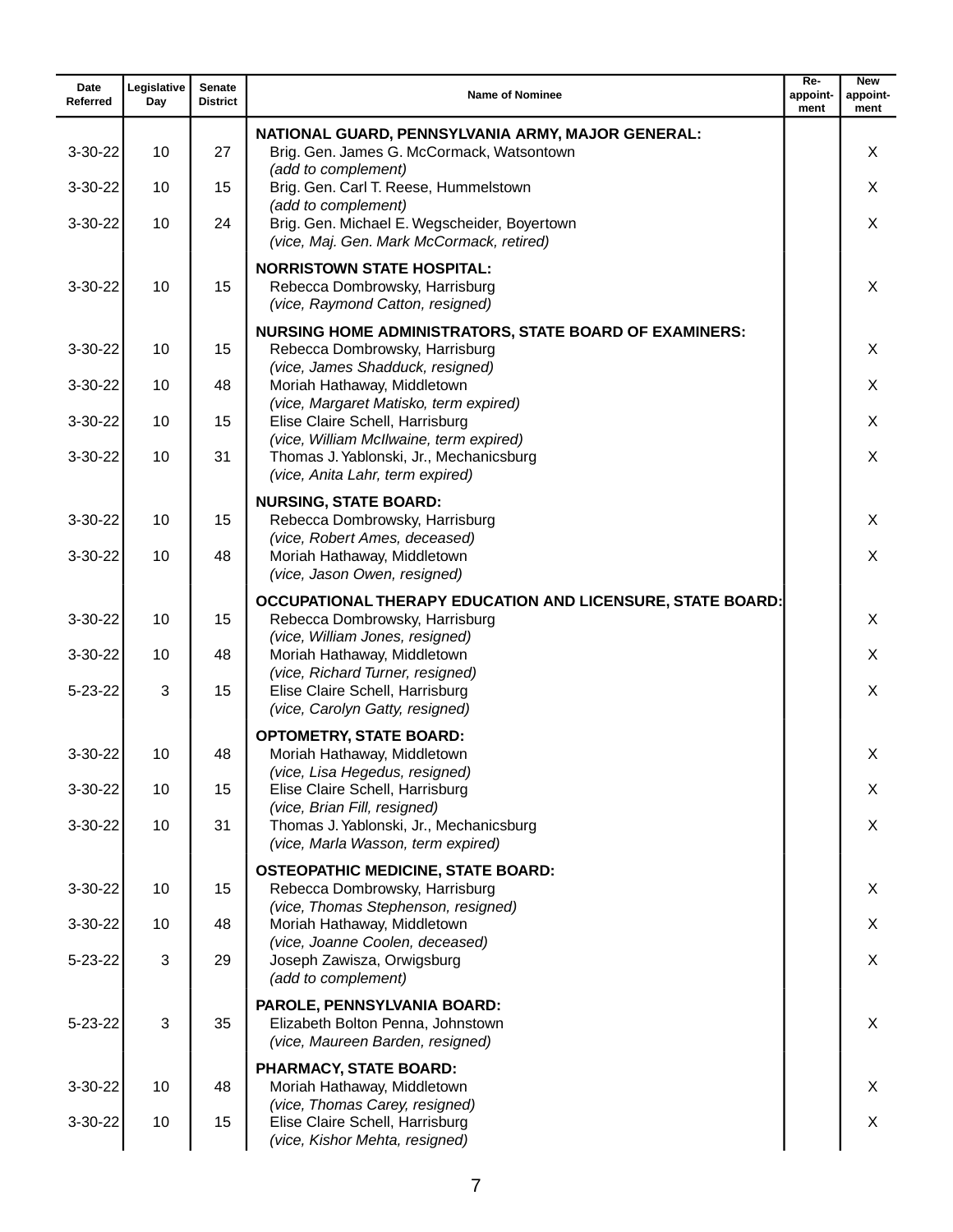| Date<br>Referred               | Legislative<br>Day | <b>Senate</b><br><b>District</b> | <b>Name of Nominee</b>                                                                                                         | $Re-$<br>appoint-<br>ment | <b>New</b><br>appoint-<br>ment |
|--------------------------------|--------------------|----------------------------------|--------------------------------------------------------------------------------------------------------------------------------|---------------------------|--------------------------------|
| $3 - 30 - 22$                  | 10                 | 27                               | NATIONAL GUARD, PENNSYLVANIA ARMY, MAJOR GENERAL:<br>Brig. Gen. James G. McCormack, Watsontown                                 |                           | X                              |
| $3 - 30 - 22$                  | 10                 | 15                               | (add to complement)<br>Brig. Gen. Carl T. Reese, Hummelstown                                                                   |                           | X                              |
| $3 - 30 - 22$                  | 10                 | 24                               | (add to complement)<br>Brig. Gen. Michael E. Wegscheider, Boyertown<br>(vice, Maj. Gen. Mark McCormack, retired)               |                           | X                              |
| $3 - 30 - 22$                  | 10                 | 15                               | <b>NORRISTOWN STATE HOSPITAL:</b><br>Rebecca Dombrowsky, Harrisburg<br>(vice, Raymond Catton, resigned)                        |                           | X                              |
| $3 - 30 - 22$                  | 10                 | 15                               | <b>NURSING HOME ADMINISTRATORS, STATE BOARD OF EXAMINERS:</b><br>Rebecca Dombrowsky, Harrisburg                                |                           | X                              |
| $3-30-22$                      | 10                 | 48                               | (vice, James Shadduck, resigned)<br>Moriah Hathaway, Middletown<br>(vice, Margaret Matisko, term expired)                      |                           | X                              |
| $3 - 30 - 22$                  | 10                 | 15                               | Elise Claire Schell, Harrisburg<br>(vice, William McIlwaine, term expired)                                                     |                           | X                              |
| $3 - 30 - 22$                  | 10                 | 31                               | Thomas J. Yablonski, Jr., Mechanicsburg<br>(vice, Anita Lahr, term expired)                                                    |                           | X                              |
| $3 - 30 - 22$<br>$3 - 30 - 22$ | 10<br>10           | 15<br>48                         | <b>NURSING, STATE BOARD:</b><br>Rebecca Dombrowsky, Harrisburg<br>(vice, Robert Ames, deceased)<br>Moriah Hathaway, Middletown |                           | X<br>X                         |
|                                |                    |                                  | (vice, Jason Owen, resigned)                                                                                                   |                           |                                |
| $3 - 30 - 22$                  | 10                 | 15                               | OCCUPATIONAL THERAPY EDUCATION AND LICENSURE, STATE BOARD:<br>Rebecca Dombrowsky, Harrisburg                                   |                           | X                              |
| 3-30-22                        | 10                 | 48                               | (vice, William Jones, resigned)<br>Moriah Hathaway, Middletown                                                                 |                           | X                              |
| $5 - 23 - 22$                  | 3                  | 15                               | (vice, Richard Turner, resigned)<br>Elise Claire Schell, Harrisburg<br>(vice, Carolyn Gatty, resigned)                         |                           | X                              |
| $3-30-22$                      | 10                 | 48                               | <b>OPTOMETRY, STATE BOARD:</b><br>Moriah Hathaway, Middletown<br>(vice, Lisa Hegedus, resigned)                                |                           | X                              |
| 3-30-22                        | 10                 | 15                               | Elise Claire Schell, Harrisburg<br>(vice, Brian Fill, resigned)                                                                |                           | X                              |
| $3-30-22$                      | 10                 | 31                               | Thomas J. Yablonski, Jr., Mechanicsburg<br>(vice, Marla Wasson, term expired)                                                  |                           | X                              |
| 3-30-22                        | 10                 | 15                               | <b>OSTEOPATHIC MEDICINE, STATE BOARD:</b><br>Rebecca Dombrowsky, Harrisburg                                                    |                           | X                              |
| 3-30-22                        | 10                 | 48                               | (vice, Thomas Stephenson, resigned)<br>Moriah Hathaway, Middletown                                                             |                           | X                              |
| $5 - 23 - 22$                  | 3                  | 29                               | (vice, Joanne Coolen, deceased)<br>Joseph Zawisza, Orwigsburg<br>(add to complement)                                           |                           | X                              |
| $5 - 23 - 22$                  | 3                  | 35                               | PAROLE, PENNSYLVANIA BOARD:<br>Elizabeth Bolton Penna, Johnstown<br>(vice, Maureen Barden, resigned)                           |                           | X                              |
| 3-30-22                        | 10                 | 48                               | PHARMACY, STATE BOARD:<br>Moriah Hathaway, Middletown                                                                          |                           | X                              |
| 3-30-22                        | 10                 | 15                               | (vice, Thomas Carey, resigned)<br>Elise Claire Schell, Harrisburg<br>(vice, Kishor Mehta, resigned)                            |                           | X                              |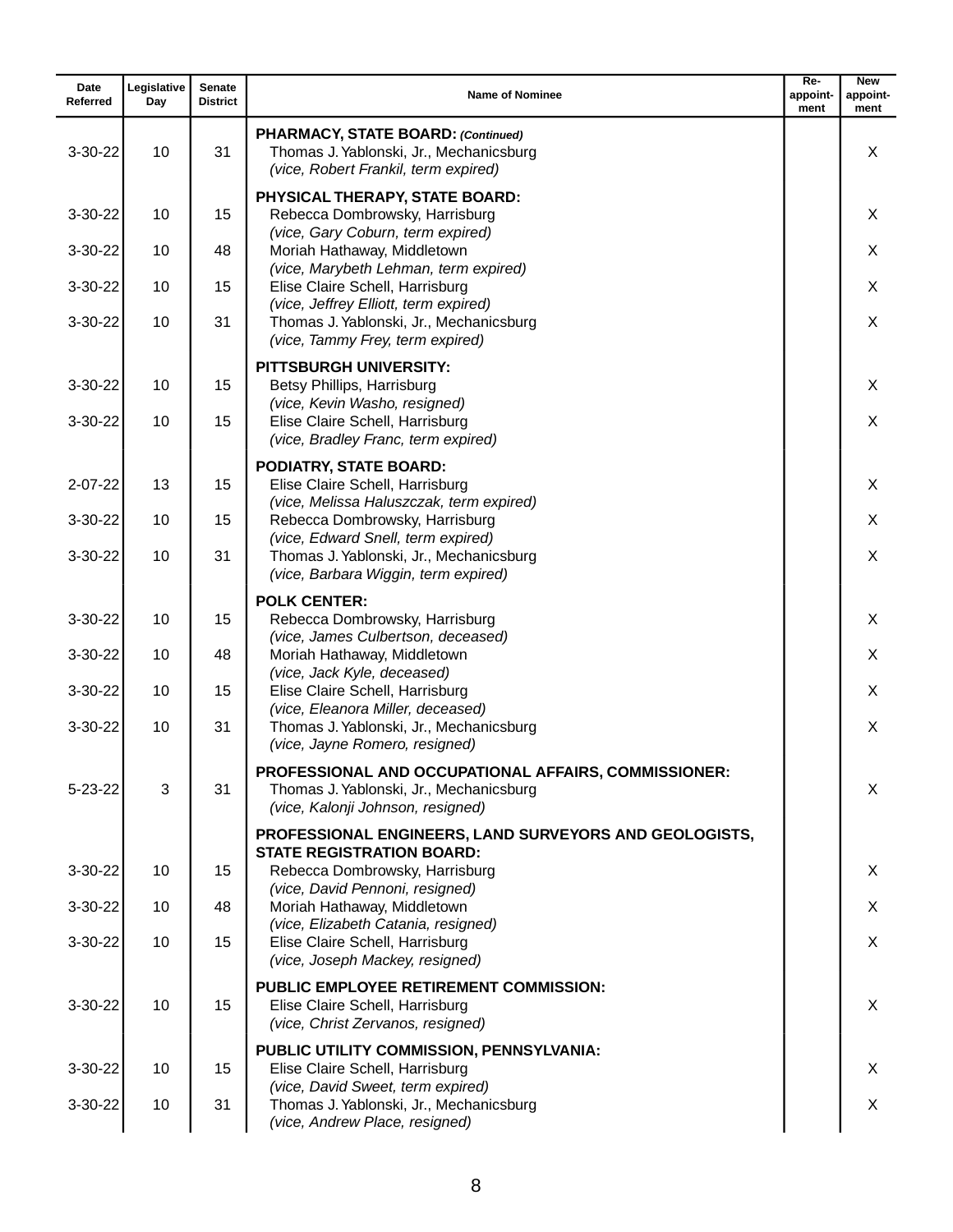| Date<br>Referred | Legislative<br>Day | <b>Senate</b><br><b>District</b> | <b>Name of Nominee</b>                                                                                                                                          | $Re-$<br>appoint-<br>ment | <b>New</b><br>appoint-<br>ment |
|------------------|--------------------|----------------------------------|-----------------------------------------------------------------------------------------------------------------------------------------------------------------|---------------------------|--------------------------------|
| $3 - 30 - 22$    | 10                 | 31                               | PHARMACY, STATE BOARD: (Continued)<br>Thomas J. Yablonski, Jr., Mechanicsburg<br>(vice, Robert Frankil, term expired)                                           |                           | X                              |
| 3-30-22          | 10                 | 15                               | PHYSICAL THERAPY, STATE BOARD:<br>Rebecca Dombrowsky, Harrisburg                                                                                                |                           | X                              |
| $3 - 30 - 22$    | 10                 | 48                               | (vice, Gary Coburn, term expired)<br>Moriah Hathaway, Middletown                                                                                                |                           | X                              |
| $3 - 30 - 22$    | 10                 | 15                               | (vice, Marybeth Lehman, term expired)<br>Elise Claire Schell, Harrisburg                                                                                        |                           | X                              |
| $3-30-22$        | 10                 | 31                               | (vice, Jeffrey Elliott, term expired)<br>Thomas J. Yablonski, Jr., Mechanicsburg<br>(vice, Tammy Frey, term expired)                                            |                           | X                              |
| $3 - 30 - 22$    | 10                 | 15                               | <b>PITTSBURGH UNIVERSITY:</b><br>Betsy Phillips, Harrisburg                                                                                                     |                           | X                              |
| $3 - 30 - 22$    | 10                 | 15                               | (vice, Kevin Washo, resigned)<br>Elise Claire Schell, Harrisburg<br>(vice, Bradley Franc, term expired)                                                         |                           | X                              |
| $2 - 07 - 22$    | 13                 | 15                               | PODIATRY, STATE BOARD:<br>Elise Claire Schell, Harrisburg<br>(vice, Melissa Haluszczak, term expired)                                                           |                           | X                              |
| $3 - 30 - 22$    | 10                 | 15                               | Rebecca Dombrowsky, Harrisburg                                                                                                                                  |                           | X                              |
| $3 - 30 - 22$    | 10                 | 31                               | (vice, Edward Snell, term expired)<br>Thomas J. Yablonski, Jr., Mechanicsburg<br>(vice, Barbara Wiggin, term expired)                                           |                           | X                              |
| $3 - 30 - 22$    | 10                 | 15                               | <b>POLK CENTER:</b><br>Rebecca Dombrowsky, Harrisburg<br>(vice, James Culbertson, deceased)                                                                     |                           | X                              |
| $3 - 30 - 22$    | 10                 | 48                               | Moriah Hathaway, Middletown<br>(vice, Jack Kyle, deceased)                                                                                                      |                           | X                              |
| $3 - 30 - 22$    | 10                 | 15                               | Elise Claire Schell, Harrisburg<br>(vice, Eleanora Miller, deceased)                                                                                            |                           | X.                             |
| $3-30-22$        | 10                 | 31                               | Thomas J. Yablonski, Jr., Mechanicsburg<br>(vice, Jayne Romero, resigned)                                                                                       |                           | X                              |
| $5 - 23 - 22$    | 3                  | 31                               | PROFESSIONAL AND OCCUPATIONAL AFFAIRS, COMMISSIONER:<br>Thomas J. Yablonski, Jr., Mechanicsburg<br>(vice, Kalonji Johnson, resigned)                            |                           | X                              |
| $3 - 30 - 22$    | 10                 | 15                               | PROFESSIONAL ENGINEERS, LAND SURVEYORS AND GEOLOGISTS,<br><b>STATE REGISTRATION BOARD:</b><br>Rebecca Dombrowsky, Harrisburg<br>(vice, David Pennoni, resigned) |                           | X                              |
| $3 - 30 - 22$    | 10                 | 48                               | Moriah Hathaway, Middletown                                                                                                                                     |                           | X                              |
| 3-30-22          | 10                 | 15                               | (vice, Elizabeth Catania, resigned)<br>Elise Claire Schell, Harrisburg<br>(vice, Joseph Mackey, resigned)                                                       |                           | X                              |
| $3-30-22$        | 10                 | 15                               | <b>PUBLIC EMPLOYEE RETIREMENT COMMISSION:</b><br>Elise Claire Schell, Harrisburg<br>(vice, Christ Zervanos, resigned)                                           |                           | X                              |
| $3 - 30 - 22$    | 10                 | 15                               | PUBLIC UTILITY COMMISSION, PENNSYLVANIA:<br>Elise Claire Schell, Harrisburg                                                                                     |                           | X                              |
| $3 - 30 - 22$    | 10                 | 31                               | (vice, David Sweet, term expired)<br>Thomas J. Yablonski, Jr., Mechanicsburg<br>(vice, Andrew Place, resigned)                                                  |                           | X                              |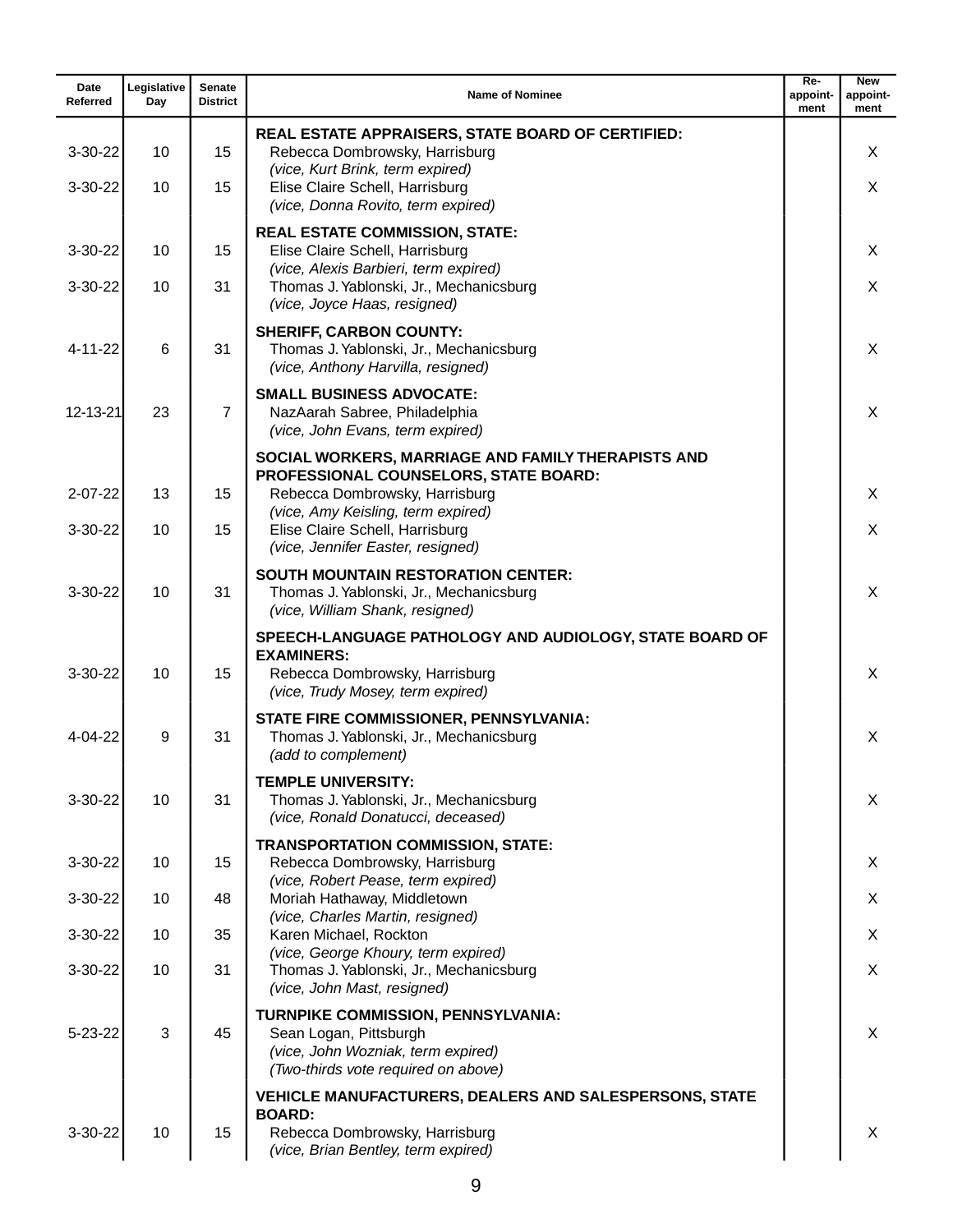| Date<br>Referred | Legislative<br>Day | <b>Senate</b><br><b>District</b> | <b>Name of Nominee</b>                                                                                                                                  | Re-<br>appoint-<br>ment | <b>New</b><br>appoint-<br>ment |
|------------------|--------------------|----------------------------------|---------------------------------------------------------------------------------------------------------------------------------------------------------|-------------------------|--------------------------------|
| $3-30-22$        | 10                 | 15                               | REAL ESTATE APPRAISERS, STATE BOARD OF CERTIFIED:<br>Rebecca Dombrowsky, Harrisburg                                                                     |                         | X                              |
| $3 - 30 - 22$    | 10                 | 15                               | (vice, Kurt Brink, term expired)<br>Elise Claire Schell, Harrisburg<br>(vice, Donna Rovito, term expired)                                               |                         | X                              |
| $3 - 30 - 22$    | 10                 | 15                               | <b>REAL ESTATE COMMISSION, STATE:</b><br>Elise Claire Schell, Harrisburg<br>(vice, Alexis Barbieri, term expired)                                       |                         | X                              |
| $3 - 30 - 22$    | 10                 | 31                               | Thomas J. Yablonski, Jr., Mechanicsburg<br>(vice, Joyce Haas, resigned)                                                                                 |                         | X                              |
| $4 - 11 - 22$    | 6                  | 31                               | <b>SHERIFF, CARBON COUNTY:</b><br>Thomas J. Yablonski, Jr., Mechanicsburg<br>(vice, Anthony Harvilla, resigned)                                         |                         | X                              |
| 12-13-21         | 23                 | $\overline{7}$                   | <b>SMALL BUSINESS ADVOCATE:</b><br>NazAarah Sabree, Philadelphia<br>(vice, John Evans, term expired)                                                    |                         | X                              |
|                  |                    |                                  | SOCIAL WORKERS, MARRIAGE AND FAMILY THERAPISTS AND<br>PROFESSIONAL COUNSELORS, STATE BOARD:                                                             |                         |                                |
| $2 - 07 - 22$    | 13                 | 15                               | Rebecca Dombrowsky, Harrisburg<br>(vice, Amy Keisling, term expired)                                                                                    |                         | X                              |
| $3 - 30 - 22$    | 10                 | 15                               | Elise Claire Schell, Harrisburg<br>(vice, Jennifer Easter, resigned)                                                                                    |                         | X                              |
| $3-30-22$        | 10                 | 31                               | <b>SOUTH MOUNTAIN RESTORATION CENTER:</b><br>Thomas J. Yablonski, Jr., Mechanicsburg<br>(vice, William Shank, resigned)                                 |                         | X                              |
| $3 - 30 - 22$    | 10                 | 15                               | SPEECH-LANGUAGE PATHOLOGY AND AUDIOLOGY, STATE BOARD OF<br><b>EXAMINERS:</b><br>Rebecca Dombrowsky, Harrisburg<br>(vice, Trudy Mosey, term expired)     |                         | X                              |
| $4 - 04 - 22$    | 9                  | 31                               | STATE FIRE COMMISSIONER, PENNSYLVANIA:<br>Thomas J. Yablonski, Jr., Mechanicsburg<br>(add to complement)                                                |                         | X                              |
| 3-30-22          | 10                 | 31                               | <b>TEMPLE UNIVERSITY:</b><br>Thomas J. Yablonski, Jr., Mechanicsburg<br>(vice, Ronald Donatucci, deceased)                                              |                         | X                              |
| 3-30-22          | 10                 | 15                               | <b>TRANSPORTATION COMMISSION, STATE:</b><br>Rebecca Dombrowsky, Harrisburg<br>(vice, Robert Pease, term expired)                                        |                         | X                              |
| $3-30-22$        | 10                 | 48                               | Moriah Hathaway, Middletown<br>(vice, Charles Martin, resigned)                                                                                         |                         | X                              |
| $3 - 30 - 22$    | 10                 | 35                               | Karen Michael, Rockton<br>(vice, George Khoury, term expired)                                                                                           |                         | X                              |
| $3-30-22$        | 10                 | 31                               | Thomas J. Yablonski, Jr., Mechanicsburg<br>(vice, John Mast, resigned)                                                                                  |                         | X                              |
| $5 - 23 - 22$    | 3                  | 45                               | TURNPIKE COMMISSION, PENNSYLVANIA:<br>Sean Logan, Pittsburgh<br>(vice, John Wozniak, term expired)<br>(Two-thirds vote required on above)               |                         | X                              |
| 3-30-22          | 10                 | 15                               | <b>VEHICLE MANUFACTURERS, DEALERS AND SALESPERSONS, STATE</b><br><b>BOARD:</b><br>Rebecca Dombrowsky, Harrisburg<br>(vice, Brian Bentley, term expired) |                         | X                              |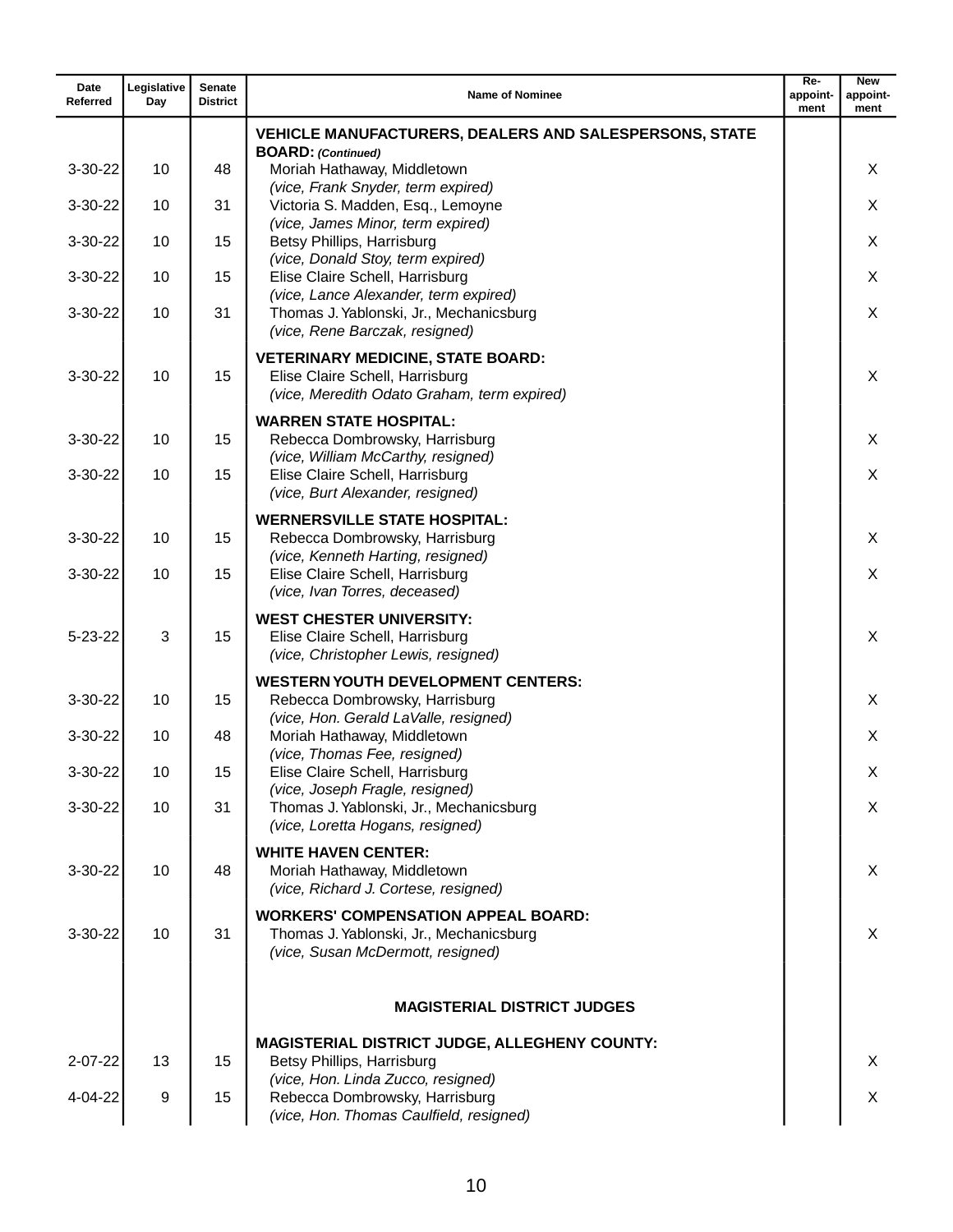| Date<br>Referred | Legislative<br>Day | <b>Senate</b><br><b>District</b> | <b>Name of Nominee</b>                                                                                                     | $Re-$<br>appoint-<br>ment | <b>New</b><br>appoint-<br>ment |
|------------------|--------------------|----------------------------------|----------------------------------------------------------------------------------------------------------------------------|---------------------------|--------------------------------|
|                  |                    |                                  | <b>VEHICLE MANUFACTURERS, DEALERS AND SALESPERSONS, STATE</b>                                                              |                           |                                |
| 3-30-22          | 10                 | 48                               | <b>BOARD:</b> (Continued)<br>Moriah Hathaway, Middletown                                                                   |                           | X                              |
| 3-30-22          | 10                 | 31                               | (vice, Frank Snyder, term expired)<br>Victoria S. Madden, Esq., Lemoyne                                                    |                           | X                              |
| 3-30-22          | 10                 | 15                               | (vice, James Minor, term expired)<br>Betsy Phillips, Harrisburg                                                            |                           | X                              |
|                  |                    |                                  | (vice, Donald Stoy, term expired)                                                                                          |                           |                                |
| $3 - 30 - 22$    | 10                 | 15                               | Elise Claire Schell, Harrisburg<br>(vice, Lance Alexander, term expired)                                                   |                           | X                              |
| 3-30-22          | 10                 | 31                               | Thomas J. Yablonski, Jr., Mechanicsburg<br>(vice, Rene Barczak, resigned)                                                  |                           | X                              |
| 3-30-22          | 10                 | 15                               | <b>VETERINARY MEDICINE, STATE BOARD:</b><br>Elise Claire Schell, Harrisburg<br>(vice, Meredith Odato Graham, term expired) |                           | X                              |
|                  |                    |                                  | <b>WARREN STATE HOSPITAL:</b>                                                                                              |                           |                                |
| 3-30-22          | 10                 | 15                               | Rebecca Dombrowsky, Harrisburg<br>(vice, William McCarthy, resigned)                                                       |                           | X                              |
| $3 - 30 - 22$    | 10                 | 15                               | Elise Claire Schell, Harrisburg<br>(vice, Burt Alexander, resigned)                                                        |                           | X                              |
| 3-30-22          | 10                 | 15                               | <b>WERNERSVILLE STATE HOSPITAL:</b><br>Rebecca Dombrowsky, Harrisburg                                                      |                           | X                              |
| 3-30-22          | 10                 | 15                               | (vice, Kenneth Harting, resigned)<br>Elise Claire Schell, Harrisburg<br>(vice, Ivan Torres, deceased)                      |                           | X                              |
| $5 - 23 - 22$    | 3                  | 15                               | <b>WEST CHESTER UNIVERSITY:</b><br>Elise Claire Schell, Harrisburg<br>(vice, Christopher Lewis, resigned)                  |                           | X                              |
|                  |                    |                                  | <b>WESTERN YOUTH DEVELOPMENT CENTERS:</b>                                                                                  |                           |                                |
| 3-30-22          | 10                 | 15                               | Rebecca Dombrowsky, Harrisburg<br>(vice, Hon. Gerald LaValle, resigned)                                                    |                           | X                              |
| 3-30-22          | 10                 | 48                               | Moriah Hathaway, Middletown<br>(vice, Thomas Fee, resigned)                                                                |                           | X                              |
| 3-30-22          | 10                 | 15                               | Elise Claire Schell, Harrisburg<br>(vice, Joseph Fragle, resigned)                                                         |                           | х                              |
| 3-30-22          | 10                 | 31                               | Thomas J. Yablonski, Jr., Mechanicsburg<br>(vice, Loretta Hogans, resigned)                                                |                           | X                              |
| 3-30-22          | 10                 | 48                               | <b>WHITE HAVEN CENTER:</b><br>Moriah Hathaway, Middletown<br>(vice, Richard J. Cortese, resigned)                          |                           | X                              |
| 3-30-22          | 10                 | 31                               | <b>WORKERS' COMPENSATION APPEAL BOARD:</b><br>Thomas J. Yablonski, Jr., Mechanicsburg<br>(vice, Susan McDermott, resigned) |                           | X                              |
|                  |                    |                                  | <b>MAGISTERIAL DISTRICT JUDGES</b>                                                                                         |                           |                                |
|                  |                    |                                  | <b>MAGISTERIAL DISTRICT JUDGE, ALLEGHENY COUNTY:</b>                                                                       |                           |                                |
| $2 - 07 - 22$    | 13                 | 15                               | Betsy Phillips, Harrisburg<br>(vice, Hon. Linda Zucco, resigned)                                                           |                           | X                              |
| 4-04-22          | 9                  | 15                               | Rebecca Dombrowsky, Harrisburg<br>(vice, Hon. Thomas Caulfield, resigned)                                                  |                           | X                              |